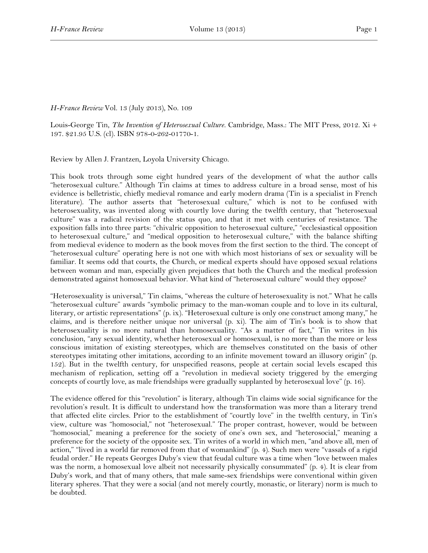## *H-France Review* Vol. 13 (July 2013), No. 109

Louis-George Tin, *The Invention of Heterosexual Culture*. Cambridge, Mass.: The MIT Press, 2012. Xi + 197. \$21.95 U.S. (cl). ISBN 978-0-262-01770-1.

Review by Allen J. Frantzen, Loyola University Chicago.

This book trots through some eight hundred years of the development of what the author calls "heterosexual culture." Although Tin claims at times to address culture in a broad sense, most of his evidence is belletristic, chiefly medieval romance and early modern drama (Tin is a specialist in French literature). The author asserts that "heterosexual culture," which is not to be confused with heterosexuality, was invented along with courtly love during the twelfth century, that "heterosexual culture" was a radical revision of the status quo, and that it met with centuries of resistance. The exposition falls into three parts: "chivalric opposition to heterosexual culture," "ecclesiastical opposition to heterosexual culture," and "medical opposition to heterosexual culture," with the balance shifting from medieval evidence to modern as the book moves from the first section to the third. The concept of "heterosexual culture" operating here is not one with which most historians of sex or sexuality will be familiar. It seems odd that courts, the Church, or medical experts should have opposed sexual relations between woman and man, especially given prejudices that both the Church and the medical profession demonstrated against homosexual behavior. What kind of "heterosexual culture" would they oppose?

"Heterosexuality is universal," Tin claims, "whereas the culture of heterosexuality is not." What he calls "heterosexual culture" awards "symbolic primacy to the man-woman couple and to love in its cultural, literary, or artistic representations" (p. ix). "Heterosexual culture is only one construct among many," he claims, and is therefore neither unique nor universal (p. xi). The aim of Tin's book is to show that heterosexuality is no more natural than homosexuality. "As a matter of fact," Tin writes in his conclusion, "any sexual identity, whether heterosexual or homosexual, is no more than the more or less conscious imitation of existing stereotypes, which are themselves constituted on the basis of other stereotypes imitating other imitations, according to an infinite movement toward an illusory origin" (p. 152). But in the twelfth century, for unspecified reasons, people at certain social levels escaped this mechanism of replication, setting off a "revolution in medieval society triggered by the emerging concepts of courtly love, as male friendships were gradually supplanted by heterosexual love" (p. 16).

The evidence offered for this "revolution" is literary, although Tin claims wide social significance for the revolution's result. It is difficult to understand how the transformation was more than a literary trend that affected elite circles. Prior to the establishment of "courtly love" in the twelfth century, in Tin's view, culture was "homosocial," not "heterosexual." The proper contrast, however, would be between "homosocial," meaning a preference for the society of one's own sex, and "heterosocial," meaning a preference for the society of the opposite sex. Tin writes of a world in which men, "and above all, men of action," "lived in a world far removed from that of womankind" (p. 4). Such men were "vassals of a rigid feudal order." He repeats Georges Duby's view that feudal culture was a time when "love between males was the norm, a homosexual love albeit not necessarily physically consummated" (p. 4). It is clear from Duby's work, and that of many others, that male same-sex friendships were conventional within given literary spheres. That they were a social (and not merely courtly, monastic, or literary) norm is much to be doubted.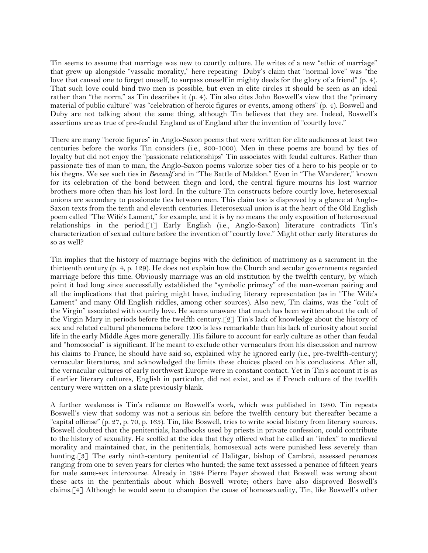Tin seems to assume that marriage was new to courtly culture. He writes of a new "ethic of marriage" that grew up alongside "vassalic morality," here repeating Duby's claim that "normal love" was "the love that caused one to forget oneself, to surpass oneself in mighty deeds for the glory of a friend" (p. 4). That such love could bind two men is possible, but even in elite circles it should be seen as an ideal rather than "the norm," as Tin describes it (p. 4). Tin also cites John Boswell's view that the "primary material of public culture" was "celebration of heroic figures or events, among others" (p. 4). Boswell and Duby are not talking about the same thing, although Tin believes that they are. Indeed, Boswell's assertions are as true of pre-feudal England as of England after the invention of "courtly love."

There are many "heroic figures" in Anglo-Saxon poems that were written for elite audiences at least two centuries before the works Tin considers (i.e., 800-1000). Men in these poems are bound by ties of loyalty but did not enjoy the "passionate relationships" Tin associates with feudal cultures. Rather than passionate ties of man to man, the Anglo-Saxon poems valorize sober ties of a hero to his people or to his thegns. We see such ties in *Beowulf* and in "The Battle of Maldon." Even in "The Wanderer," known for its celebration of the bond between thegn and lord, the central figure mourns his lost warrior brothers more often than his lost lord. In the culture Tin constructs before courtly love, heterosexual unions are secondary to passionate ties between men. This claim too is disproved by a glance at Anglo-Saxon texts from the tenth and eleventh centuries. Heterosexual union is at the heart of the Old English poem called "The Wife's Lament," for example, and it is by no means the only exposition of heterosexual relationships in the period.[1] Early English (i.e., Anglo-Saxon) literature contradicts Tin's characterization of sexual culture before the invention of "courtly love." Might other early literatures do so as well?

Tin implies that the history of marriage begins with the definition of matrimony as a sacrament in the thirteenth century (p. 4, p. 129). He does not explain how the Church and secular governments regarded marriage before this time. Obviously marriage was an old institution by the twelfth century, by which point it had long since successfully established the "symbolic primacy" of the man-woman pairing and all the implications that that pairing might have, including literary representation (as in "The Wife's Lament" and many Old English riddles, among other sources). Also new, Tin claims, was the "cult of the Virgin" associated with courtly love. He seems unaware that much has been written about the cult of the Virgin Mary in periods before the twelfth century.[2] Tin's lack of knowledge about the history of sex and related cultural phenomena before 1200 is less remarkable than his lack of curiosity about social life in the early Middle Ages more generally. His failure to account for early culture as other than feudal and "homosocial" is significant. If he meant to exclude other vernaculars from his discussion and narrow his claims to France, he should have said so, explained why he ignored early (i.e., pre-twelfth-century) vernacular literatures, and acknowledged the limits these choices placed on his conclusions. After all, the vernacular cultures of early northwest Europe were in constant contact. Yet in Tin's account it is as if earlier literary cultures, English in particular, did not exist, and as if French culture of the twelfth century were written on a slate previously blank.

A further weakness is Tin's reliance on Boswell's work, which was published in 1980. Tin repeats Boswell's view that sodomy was not a serious sin before the twelfth century but thereafter became a "capital offense" (p. 27, p. 70, p. 163). Tin, like Boswell, tries to write social history from literary sources. Boswell doubted that the penitentials, handbooks used by priests in private confession, could contribute to the history of sexuality. He scoffed at the idea that they offered what he called an "index" to medieval morality and maintained that, in the penitentials, homosexual acts were punished less severely than hunting.[3] The early ninth-century penitential of Halitgar, bishop of Cambrai, assessed penances ranging from one to seven years for clerics who hunted; the same text assessed a penance of fifteen years for male same-sex intercourse. Already in 1984 Pierre Payer showed that Boswell was wrong about these acts in the penitentials about which Boswell wrote; others have also disproved Boswell's claims.[4] Although he would seem to champion the cause of homosexuality, Tin, like Boswell's other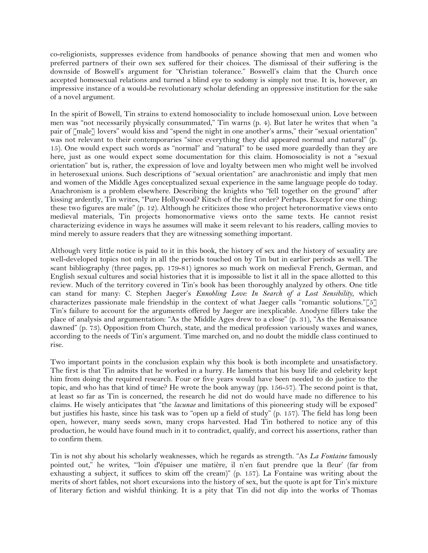co-religionists, suppresses evidence from handbooks of penance showing that men and women who preferred partners of their own sex suffered for their choices. The dismissal of their suffering is the downside of Boswell's argument for "Christian tolerance." Boswell's claim that the Church once accepted homosexual relations and turned a blind eye to sodomy is simply not true. It is, however, an impressive instance of a would-be revolutionary scholar defending an oppressive institution for the sake of a novel argument.

In the spirit of Bowell, Tin strains to extend homosociality to include homosexual union. Love between men was "not necessarily physically consummated," Tin warns (p. 4). But later he writes that when "a pair of [male] lovers" would kiss and "spend the night in one another's arms," their "sexual orientation" was not relevant to their contemporaries "since everything they did appeared normal and natural" (p. 15). One would expect such words as "normal" and "natural" to be used more guardedly than they are here, just as one would expect some documentation for this claim. Homosociality is not a "sexual orientation" but is, rather, the expression of love and loyalty between men who might well be involved in heterosexual unions. Such descriptions of "sexual orientation" are anachronistic and imply that men and women of the Middle Ages conceptualized sexual experience in the same language people do today. Anachronism is a problem elsewhere. Describing the knights who "fell together on the ground" after kissing ardently, Tin writes, "Pure Hollywood? Kitsch of the first order? Perhaps. Except for one thing: these two figures are male" (p. 12). Although he criticizes those who project heteronormative views onto medieval materials, Tin projects homonormative views onto the same texts. He cannot resist characterizing evidence in ways he assumes will make it seem relevant to his readers, calling movies to mind merely to assure readers that they are witnessing something important.

Although very little notice is paid to it in this book, the history of sex and the history of sexuality are well-developed topics not only in all the periods touched on by Tin but in earlier periods as well. The scant bibliography (three pages, pp. 179-81) ignores so much work on medieval French, German, and English sexual cultures and social histories that it is impossible to list it all in the space allotted to this review. Much of the territory covered in Tin's book has been thoroughly analyzed by others. One title can stand for many: C. Stephen Jaeger's *Ennobling Love: In Search of a Lost Sensibility*, which characterizes passionate male friendship in the context of what Jaeger calls "romantic solutions."[5] Tin's failure to account for the arguments offered by Jaeger are inexplicable. Anodyne fillers take the place of analysis and argumentation: "As the Middle Ages drew to a close" (p. 31), "As the Renaissance dawned" (p. 73). Opposition from Church, state, and the medical profession variously waxes and wanes, according to the needs of Tin's argument. Time marched on, and no doubt the middle class continued to rise.

Two important points in the conclusion explain why this book is both incomplete and unsatisfactory. The first is that Tin admits that he worked in a hurry. He laments that his busy life and celebrity kept him from doing the required research. Four or five years would have been needed to do justice to the topic, and who has that kind of time? He wrote the book anyway (pp. 156-57). The second point is that, at least so far as Tin is concerned, the research he did not do would have made no difference to his claims. He wisely anticipates that "the *lacunae* and limitations of this pioneering study will be exposed" but justifies his haste, since his task was to "open up a field of study" (p. 157). The field has long been open, however, many seeds sown, many crops harvested. Had Tin bothered to notice any of this production, he would have found much in it to contradict, qualify, and correct his assertions, rather than to confirm them.

Tin is not shy about his scholarly weaknesses, which he regards as strength. "As *La Fontaine* famously pointed out," he writes, "'loin d'épuiser une matière, il n'en faut prendre que la fleur' (far from exhausting a subject, it suffices to skim off the cream)" (p. 157). La Fontaine was writing about the merits of short fables, not short excursions into the history of sex, but the quote is apt for Tin's mixture of literary fiction and wishful thinking. It is a pity that Tin did not dip into the works of Thomas